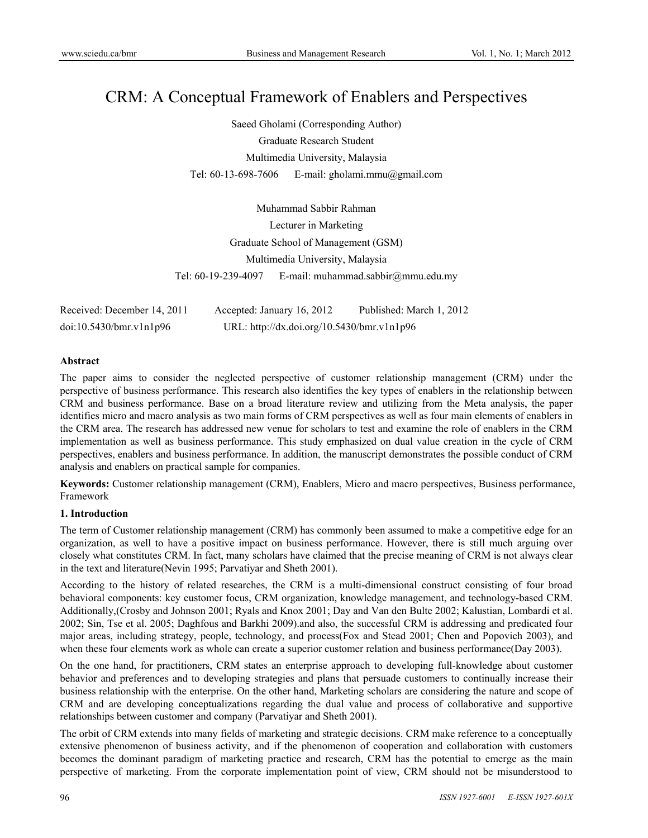# CRM: A Conceptual Framework of Enablers and Perspectives

Saeed Gholami (Corresponding Author) Graduate Research Student Multimedia University, Malaysia Tel: 60-13-698-7606 E-mail: gholami.mmu@gmail.com

Muhammad Sabbir Rahman Lecturer in Marketing Graduate School of Management (GSM) Multimedia University, Malaysia Tel: 60-19-239-4097 E-mail: muhammad.sabbir@mmu.edu.my

Received: December 14, 2011 Accepted: January 16, 2012 Published: March 1, 2012 doi:10.5430/bmr.v1n1p96 URL: http://dx.doi.org/10.5430/bmr.v1n1p96

# **Abstract**

The paper aims to consider the neglected perspective of customer relationship management (CRM) under the perspective of business performance. This research also identifies the key types of enablers in the relationship between CRM and business performance. Base on a broad literature review and utilizing from the Meta analysis, the paper identifies micro and macro analysis as two main forms of CRM perspectives as well as four main elements of enablers in the CRM area. The research has addressed new venue for scholars to test and examine the role of enablers in the CRM implementation as well as business performance. This study emphasized on dual value creation in the cycle of CRM perspectives, enablers and business performance. In addition, the manuscript demonstrates the possible conduct of CRM analysis and enablers on practical sample for companies.

**Keywords:** Customer relationship management (CRM), Enablers, Micro and macro perspectives, Business performance, Framework

# **1. Introduction**

The term of Customer relationship management (CRM) has commonly been assumed to make a competitive edge for an organization, as well to have a positive impact on business performance. However, there is still much arguing over closely what constitutes CRM. In fact, many scholars have claimed that the precise meaning of CRM is not always clear in the text and literature(Nevin 1995; Parvatiyar and Sheth 2001).

According to the history of related researches, the CRM is a multi-dimensional construct consisting of four broad behavioral components: key customer focus, CRM organization, knowledge management, and technology-based CRM. Additionally,(Crosby and Johnson 2001; Ryals and Knox 2001; Day and Van den Bulte 2002; Kalustian, Lombardi et al. 2002; Sin, Tse et al. 2005; Daghfous and Barkhi 2009).and also, the successful CRM is addressing and predicated four major areas, including strategy, people, technology, and process(Fox and Stead 2001; Chen and Popovich 2003), and when these four elements work as whole can create a superior customer relation and business performance(Day 2003).

On the one hand, for practitioners, CRM states an enterprise approach to developing full-knowledge about customer behavior and preferences and to developing strategies and plans that persuade customers to continually increase their business relationship with the enterprise. On the other hand, Marketing scholars are considering the nature and scope of CRM and are developing conceptualizations regarding the dual value and process of collaborative and supportive relationships between customer and company (Parvatiyar and Sheth 2001).

The orbit of CRM extends into many fields of marketing and strategic decisions. CRM make reference to a conceptually extensive phenomenon of business activity, and if the phenomenon of cooperation and collaboration with customers becomes the dominant paradigm of marketing practice and research, CRM has the potential to emerge as the main perspective of marketing. From the corporate implementation point of view, CRM should not be misunderstood to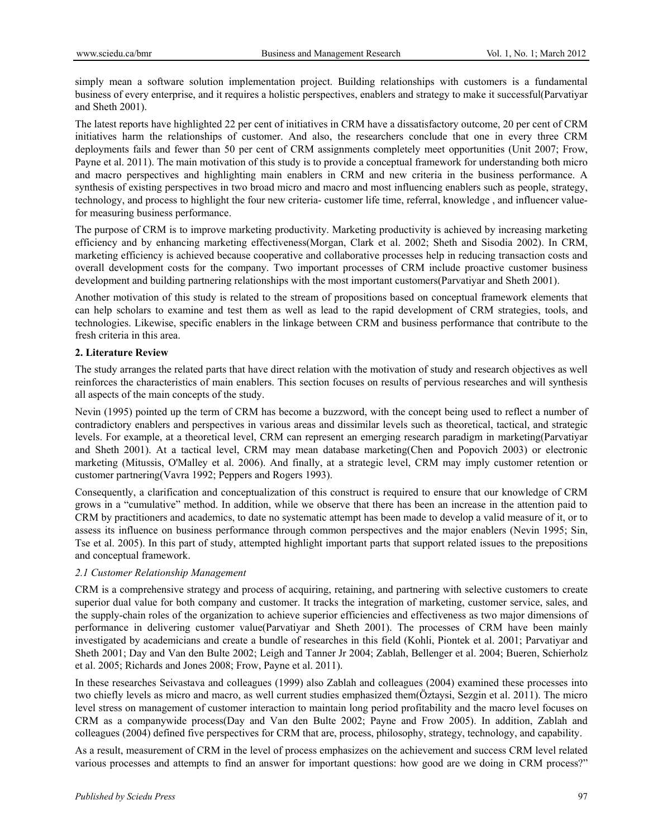simply mean a software solution implementation project. Building relationships with customers is a fundamental business of every enterprise, and it requires a holistic perspectives, enablers and strategy to make it successful(Parvatiyar and Sheth 2001).

The latest reports have highlighted 22 per cent of initiatives in CRM have a dissatisfactory outcome, 20 per cent of CRM initiatives harm the relationships of customer. And also, the researchers conclude that one in every three CRM deployments fails and fewer than 50 per cent of CRM assignments completely meet opportunities (Unit 2007; Frow, Payne et al. 2011). The main motivation of this study is to provide a conceptual framework for understanding both micro and macro perspectives and highlighting main enablers in CRM and new criteria in the business performance. A synthesis of existing perspectives in two broad micro and macro and most influencing enablers such as people, strategy, technology, and process to highlight the four new criteria- customer life time, referral, knowledge , and influencer valuefor measuring business performance.

The purpose of CRM is to improve marketing productivity. Marketing productivity is achieved by increasing marketing efficiency and by enhancing marketing effectiveness(Morgan, Clark et al. 2002; Sheth and Sisodia 2002). In CRM, marketing efficiency is achieved because cooperative and collaborative processes help in reducing transaction costs and overall development costs for the company. Two important processes of CRM include proactive customer business development and building partnering relationships with the most important customers(Parvatiyar and Sheth 2001).

Another motivation of this study is related to the stream of propositions based on conceptual framework elements that can help scholars to examine and test them as well as lead to the rapid development of CRM strategies, tools, and technologies. Likewise, specific enablers in the linkage between CRM and business performance that contribute to the fresh criteria in this area.

#### **2. Literature Review**

The study arranges the related parts that have direct relation with the motivation of study and research objectives as well reinforces the characteristics of main enablers. This section focuses on results of pervious researches and will synthesis all aspects of the main concepts of the study.

Nevin (1995) pointed up the term of CRM has become a buzzword, with the concept being used to reflect a number of contradictory enablers and perspectives in various areas and dissimilar levels such as theoretical, tactical, and strategic levels. For example, at a theoretical level, CRM can represent an emerging research paradigm in marketing(Parvatiyar and Sheth 2001). At a tactical level, CRM may mean database marketing(Chen and Popovich 2003) or electronic marketing (Mitussis, O'Malley et al. 2006). And finally, at a strategic level, CRM may imply customer retention or customer partnering(Vavra 1992; Peppers and Rogers 1993).

Consequently, a clarification and conceptualization of this construct is required to ensure that our knowledge of CRM grows in a "cumulative" method. In addition, while we observe that there has been an increase in the attention paid to CRM by practitioners and academics, to date no systematic attempt has been made to develop a valid measure of it, or to assess its influence on business performance through common perspectives and the major enablers (Nevin 1995; Sin, Tse et al. 2005). In this part of study, attempted highlight important parts that support related issues to the prepositions and conceptual framework.

#### *2.1 Customer Relationship Management*

CRM is a comprehensive strategy and process of acquiring, retaining, and partnering with selective customers to create superior dual value for both company and customer. It tracks the integration of marketing, customer service, sales, and the supply-chain roles of the organization to achieve superior efficiencies and effectiveness as two major dimensions of performance in delivering customer value(Parvatiyar and Sheth 2001). The processes of CRM have been mainly investigated by academicians and create a bundle of researches in this field (Kohli, Piontek et al. 2001; Parvatiyar and Sheth 2001; Day and Van den Bulte 2002; Leigh and Tanner Jr 2004; Zablah, Bellenger et al. 2004; Bueren, Schierholz et al. 2005; Richards and Jones 2008; Frow, Payne et al. 2011).

In these researches Seivastava and colleagues (1999) also Zablah and colleagues (2004) examined these processes into two chiefly levels as micro and macro, as well current studies emphasized them(Öztaysi, Sezgin et al. 2011). The micro level stress on management of customer interaction to maintain long period profitability and the macro level focuses on CRM as a companywide process(Day and Van den Bulte 2002; Payne and Frow 2005). In addition, Zablah and colleagues (2004) defined five perspectives for CRM that are, process, philosophy, strategy, technology, and capability.

As a result, measurement of CRM in the level of process emphasizes on the achievement and success CRM level related various processes and attempts to find an answer for important questions: how good are we doing in CRM process?"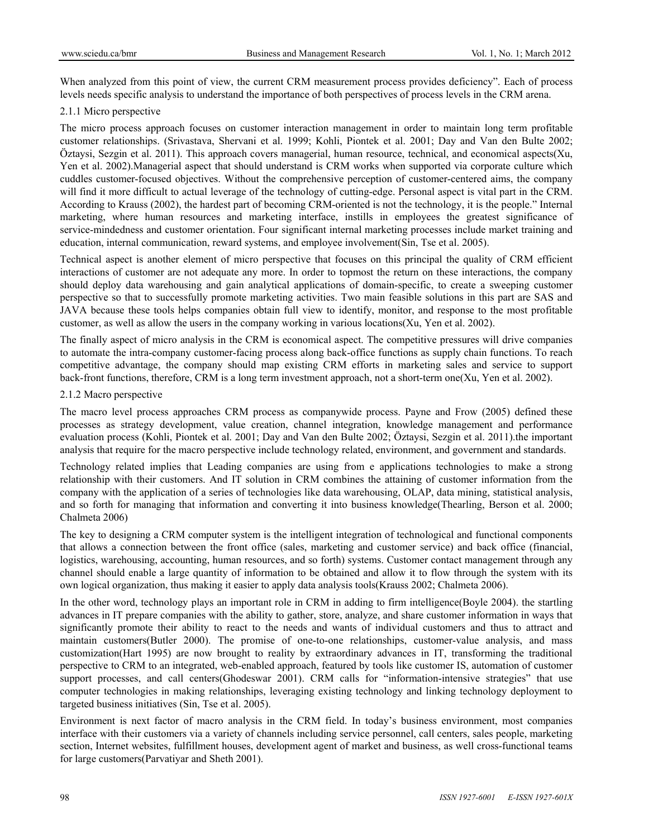When analyzed from this point of view, the current CRM measurement process provides deficiency". Each of process levels needs specific analysis to understand the importance of both perspectives of process levels in the CRM arena.

## 2.1.1 Micro perspective

The micro process approach focuses on customer interaction management in order to maintain long term profitable customer relationships. (Srivastava, Shervani et al. 1999; Kohli, Piontek et al. 2001; Day and Van den Bulte 2002; Öztaysi, Sezgin et al. 2011). This approach covers managerial, human resource, technical, and economical aspects(Xu, Yen et al. 2002).Managerial aspect that should understand is CRM works when supported via corporate culture which cuddles customer-focused objectives. Without the comprehensive perception of customer-centered aims, the company will find it more difficult to actual leverage of the technology of cutting-edge. Personal aspect is vital part in the CRM. According to Krauss (2002), the hardest part of becoming CRM-oriented is not the technology, it is the people." Internal marketing, where human resources and marketing interface, instills in employees the greatest significance of service-mindedness and customer orientation. Four significant internal marketing processes include market training and education, internal communication, reward systems, and employee involvement(Sin, Tse et al. 2005).

Technical aspect is another element of micro perspective that focuses on this principal the quality of CRM efficient interactions of customer are not adequate any more. In order to topmost the return on these interactions, the company should deploy data warehousing and gain analytical applications of domain-specific, to create a sweeping customer perspective so that to successfully promote marketing activities. Two main feasible solutions in this part are SAS and JAVA because these tools helps companies obtain full view to identify, monitor, and response to the most profitable customer, as well as allow the users in the company working in various locations(Xu, Yen et al. 2002).

The finally aspect of micro analysis in the CRM is economical aspect. The competitive pressures will drive companies to automate the intra-company customer-facing process along back-office functions as supply chain functions. To reach competitive advantage, the company should map existing CRM efforts in marketing sales and service to support back-front functions, therefore, CRM is a long term investment approach, not a short-term one(Xu, Yen et al. 2002).

## 2.1.2 Macro perspective

The macro level process approaches CRM process as companywide process. Payne and Frow (2005) defined these processes as strategy development, value creation, channel integration, knowledge management and performance evaluation process (Kohli, Piontek et al. 2001; Day and Van den Bulte 2002; Öztaysi, Sezgin et al. 2011).the important analysis that require for the macro perspective include technology related, environment, and government and standards.

Technology related implies that Leading companies are using from e applications technologies to make a strong relationship with their customers. And IT solution in CRM combines the attaining of customer information from the company with the application of a series of technologies like data warehousing, OLAP, data mining, statistical analysis, and so forth for managing that information and converting it into business knowledge(Thearling, Berson et al. 2000; Chalmeta 2006)

The key to designing a CRM computer system is the intelligent integration of technological and functional components that allows a connection between the front office (sales, marketing and customer service) and back office (financial, logistics, warehousing, accounting, human resources, and so forth) systems. Customer contact management through any channel should enable a large quantity of information to be obtained and allow it to flow through the system with its own logical organization, thus making it easier to apply data analysis tools(Krauss 2002; Chalmeta 2006).

In the other word, technology plays an important role in CRM in adding to firm intelligence(Boyle 2004). the startling advances in IT prepare companies with the ability to gather, store, analyze, and share customer information in ways that significantly promote their ability to react to the needs and wants of individual customers and thus to attract and maintain customers(Butler 2000). The promise of one-to-one relationships, customer-value analysis, and mass customization(Hart 1995) are now brought to reality by extraordinary advances in IT, transforming the traditional perspective to CRM to an integrated, web-enabled approach, featured by tools like customer IS, automation of customer support processes, and call centers(Ghodeswar 2001). CRM calls for "information-intensive strategies" that use computer technologies in making relationships, leveraging existing technology and linking technology deployment to targeted business initiatives (Sin, Tse et al. 2005).

Environment is next factor of macro analysis in the CRM field. In today's business environment, most companies interface with their customers via a variety of channels including service personnel, call centers, sales people, marketing section, Internet websites, fulfillment houses, development agent of market and business, as well cross-functional teams for large customers(Parvatiyar and Sheth 2001).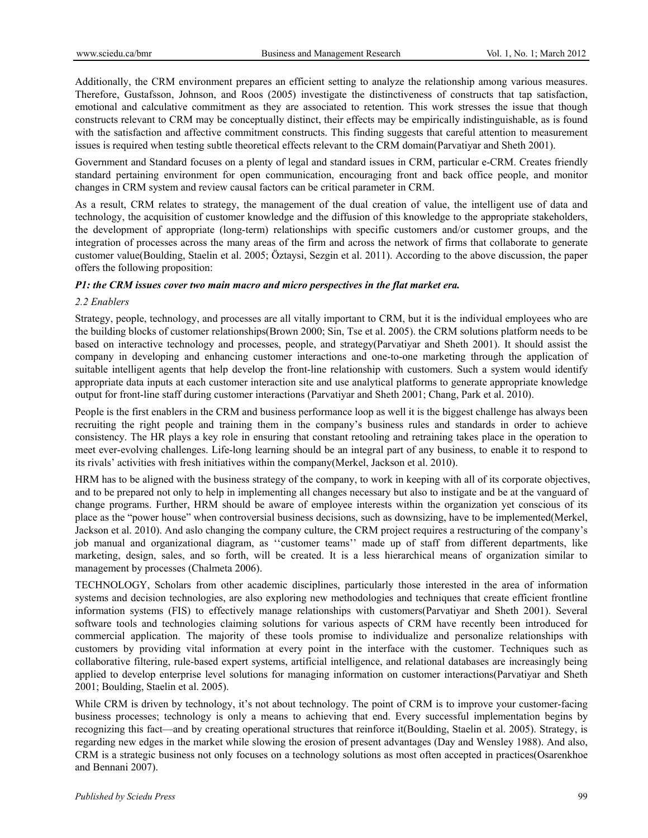Additionally, the CRM environment prepares an efficient setting to analyze the relationship among various measures. Therefore, Gustafsson, Johnson, and Roos (2005) investigate the distinctiveness of constructs that tap satisfaction, emotional and calculative commitment as they are associated to retention. This work stresses the issue that though constructs relevant to CRM may be conceptually distinct, their effects may be empirically indistinguishable, as is found with the satisfaction and affective commitment constructs. This finding suggests that careful attention to measurement issues is required when testing subtle theoretical effects relevant to the CRM domain(Parvatiyar and Sheth 2001).

Government and Standard focuses on a plenty of legal and standard issues in CRM, particular e-CRM. Creates friendly standard pertaining environment for open communication, encouraging front and back office people, and monitor changes in CRM system and review causal factors can be critical parameter in CRM.

As a result, CRM relates to strategy, the management of the dual creation of value, the intelligent use of data and technology, the acquisition of customer knowledge and the diffusion of this knowledge to the appropriate stakeholders, the development of appropriate (long-term) relationships with specific customers and/or customer groups, and the integration of processes across the many areas of the firm and across the network of firms that collaborate to generate customer value(Boulding, Staelin et al. 2005; Öztaysi, Sezgin et al. 2011). According to the above discussion, the paper offers the following proposition:

## *P1: the CRM issues cover two main macro and micro perspectives in the flat market era.*

#### *2.2 Enablers*

Strategy, people, technology, and processes are all vitally important to CRM, but it is the individual employees who are the building blocks of customer relationships(Brown 2000; Sin, Tse et al. 2005). the CRM solutions platform needs to be based on interactive technology and processes, people, and strategy(Parvatiyar and Sheth 2001). It should assist the company in developing and enhancing customer interactions and one-to-one marketing through the application of suitable intelligent agents that help develop the front-line relationship with customers. Such a system would identify appropriate data inputs at each customer interaction site and use analytical platforms to generate appropriate knowledge output for front-line staff during customer interactions (Parvatiyar and Sheth 2001; Chang, Park et al. 2010).

People is the first enablers in the CRM and business performance loop as well it is the biggest challenge has always been recruiting the right people and training them in the company's business rules and standards in order to achieve consistency. The HR plays a key role in ensuring that constant retooling and retraining takes place in the operation to meet ever-evolving challenges. Life-long learning should be an integral part of any business, to enable it to respond to its rivals' activities with fresh initiatives within the company(Merkel, Jackson et al. 2010).

HRM has to be aligned with the business strategy of the company, to work in keeping with all of its corporate objectives, and to be prepared not only to help in implementing all changes necessary but also to instigate and be at the vanguard of change programs. Further, HRM should be aware of employee interests within the organization yet conscious of its place as the "power house" when controversial business decisions, such as downsizing, have to be implemented(Merkel, Jackson et al. 2010). And aslo changing the company culture, the CRM project requires a restructuring of the company's job manual and organizational diagram, as ''customer teams'' made up of staff from different departments, like marketing, design, sales, and so forth, will be created. It is a less hierarchical means of organization similar to management by processes (Chalmeta 2006).

TECHNOLOGY, Scholars from other academic disciplines, particularly those interested in the area of information systems and decision technologies, are also exploring new methodologies and techniques that create efficient frontline information systems (FIS) to effectively manage relationships with customers(Parvatiyar and Sheth 2001). Several software tools and technologies claiming solutions for various aspects of CRM have recently been introduced for commercial application. The majority of these tools promise to individualize and personalize relationships with customers by providing vital information at every point in the interface with the customer. Techniques such as collaborative filtering, rule-based expert systems, artificial intelligence, and relational databases are increasingly being applied to develop enterprise level solutions for managing information on customer interactions(Parvatiyar and Sheth 2001; Boulding, Staelin et al. 2005).

While CRM is driven by technology, it's not about technology. The point of CRM is to improve your customer-facing business processes; technology is only a means to achieving that end. Every successful implementation begins by recognizing this fact—and by creating operational structures that reinforce it(Boulding, Staelin et al. 2005). Strategy, is regarding new edges in the market while slowing the erosion of present advantages (Day and Wensley 1988). And also, CRM is a strategic business not only focuses on a technology solutions as most often accepted in practices(Osarenkhoe and Bennani 2007).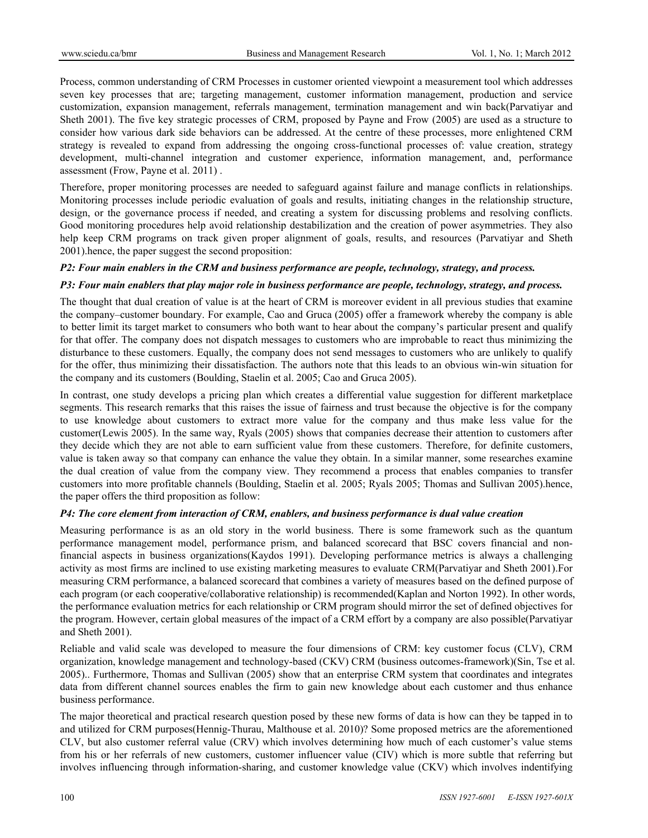Process, common understanding of CRM Processes in customer oriented viewpoint a measurement tool which addresses seven key processes that are; targeting management, customer information management, production and service customization, expansion management, referrals management, termination management and win back(Parvatiyar and Sheth 2001). The five key strategic processes of CRM, proposed by Payne and Frow (2005) are used as a structure to consider how various dark side behaviors can be addressed. At the centre of these processes, more enlightened CRM strategy is revealed to expand from addressing the ongoing cross-functional processes of: value creation, strategy development, multi-channel integration and customer experience, information management, and, performance assessment (Frow, Payne et al. 2011) .

Therefore, proper monitoring processes are needed to safeguard against failure and manage conflicts in relationships. Monitoring processes include periodic evaluation of goals and results, initiating changes in the relationship structure, design, or the governance process if needed, and creating a system for discussing problems and resolving conflicts. Good monitoring procedures help avoid relationship destabilization and the creation of power asymmetries. They also help keep CRM programs on track given proper alignment of goals, results, and resources (Parvatiyar and Sheth 2001).hence, the paper suggest the second proposition:

# *P2: Four main enablers in the CRM and business performance are people, technology, strategy, and process.*

## *P3: Four main enablers that play major role in business performance are people, technology, strategy, and process.*

The thought that dual creation of value is at the heart of CRM is moreover evident in all previous studies that examine the company–customer boundary. For example, Cao and Gruca (2005) offer a framework whereby the company is able to better limit its target market to consumers who both want to hear about the company's particular present and qualify for that offer. The company does not dispatch messages to customers who are improbable to react thus minimizing the disturbance to these customers. Equally, the company does not send messages to customers who are unlikely to qualify for the offer, thus minimizing their dissatisfaction. The authors note that this leads to an obvious win-win situation for the company and its customers (Boulding, Staelin et al. 2005; Cao and Gruca 2005).

In contrast, one study develops a pricing plan which creates a differential value suggestion for different marketplace segments. This research remarks that this raises the issue of fairness and trust because the objective is for the company to use knowledge about customers to extract more value for the company and thus make less value for the customer(Lewis 2005). In the same way, Ryals (2005) shows that companies decrease their attention to customers after they decide which they are not able to earn sufficient value from these customers. Therefore, for definite customers, value is taken away so that company can enhance the value they obtain. In a similar manner, some researches examine the dual creation of value from the company view. They recommend a process that enables companies to transfer customers into more profitable channels (Boulding, Staelin et al. 2005; Ryals 2005; Thomas and Sullivan 2005).hence, the paper offers the third proposition as follow:

#### *P4: The core element from interaction of CRM, enablers, and business performance is dual value creation*

Measuring performance is as an old story in the world business. There is some framework such as the quantum performance management model, performance prism, and balanced scorecard that BSC covers financial and nonfinancial aspects in business organizations(Kaydos 1991). Developing performance metrics is always a challenging activity as most firms are inclined to use existing marketing measures to evaluate CRM(Parvatiyar and Sheth 2001).For measuring CRM performance, a balanced scorecard that combines a variety of measures based on the defined purpose of each program (or each cooperative/collaborative relationship) is recommended(Kaplan and Norton 1992). In other words, the performance evaluation metrics for each relationship or CRM program should mirror the set of defined objectives for the program. However, certain global measures of the impact of a CRM effort by a company are also possible(Parvatiyar and Sheth 2001).

Reliable and valid scale was developed to measure the four dimensions of CRM: key customer focus (CLV), CRM organization, knowledge management and technology-based (CKV) CRM (business outcomes-framework)(Sin, Tse et al. 2005).. Furthermore, Thomas and Sullivan (2005) show that an enterprise CRM system that coordinates and integrates data from different channel sources enables the firm to gain new knowledge about each customer and thus enhance business performance.

The major theoretical and practical research question posed by these new forms of data is how can they be tapped in to and utilized for CRM purposes(Hennig-Thurau, Malthouse et al. 2010)? Some proposed metrics are the aforementioned CLV, but also customer referral value (CRV) which involves determining how much of each customer's value stems from his or her referrals of new customers, customer influencer value (CIV) which is more subtle that referring but involves influencing through information-sharing, and customer knowledge value (CKV) which involves indentifying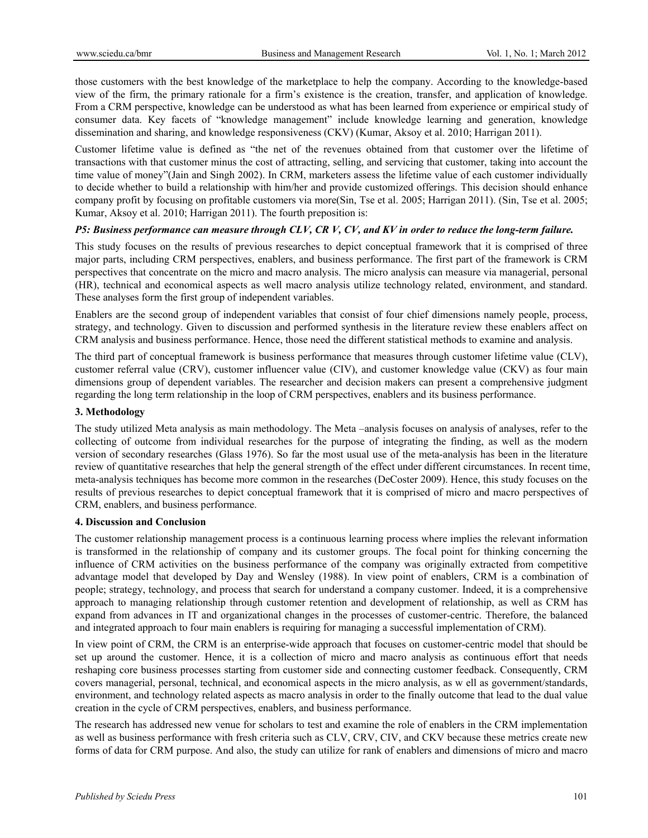those customers with the best knowledge of the marketplace to help the company. According to the knowledge-based view of the firm, the primary rationale for a firm's existence is the creation, transfer, and application of knowledge. From a CRM perspective, knowledge can be understood as what has been learned from experience or empirical study of consumer data. Key facets of "knowledge management" include knowledge learning and generation, knowledge dissemination and sharing, and knowledge responsiveness (CKV) (Kumar, Aksoy et al. 2010; Harrigan 2011).

Customer lifetime value is defined as "the net of the revenues obtained from that customer over the lifetime of transactions with that customer minus the cost of attracting, selling, and servicing that customer, taking into account the time value of money"(Jain and Singh 2002). In CRM, marketers assess the lifetime value of each customer individually to decide whether to build a relationship with him/her and provide customized offerings. This decision should enhance company profit by focusing on profitable customers via more(Sin, Tse et al. 2005; Harrigan 2011). (Sin, Tse et al. 2005; Kumar, Aksoy et al. 2010; Harrigan 2011). The fourth preposition is:

# *P5: Business performance can measure through CLV, CR V, CV, and KV in order to reduce the long-term failure.*

This study focuses on the results of previous researches to depict conceptual framework that it is comprised of three major parts, including CRM perspectives, enablers, and business performance. The first part of the framework is CRM perspectives that concentrate on the micro and macro analysis. The micro analysis can measure via managerial, personal (HR), technical and economical aspects as well macro analysis utilize technology related, environment, and standard. These analyses form the first group of independent variables.

Enablers are the second group of independent variables that consist of four chief dimensions namely people, process, strategy, and technology. Given to discussion and performed synthesis in the literature review these enablers affect on CRM analysis and business performance. Hence, those need the different statistical methods to examine and analysis.

The third part of conceptual framework is business performance that measures through customer lifetime value (CLV), customer referral value (CRV), customer influencer value (CIV), and customer knowledge value (CKV) as four main dimensions group of dependent variables. The researcher and decision makers can present a comprehensive judgment regarding the long term relationship in the loop of CRM perspectives, enablers and its business performance.

#### **3. Methodology**

The study utilized Meta analysis as main methodology. The Meta –analysis focuses on analysis of analyses, refer to the collecting of outcome from individual researches for the purpose of integrating the finding, as well as the modern version of secondary researches (Glass 1976). So far the most usual use of the meta-analysis has been in the literature review of quantitative researches that help the general strength of the effect under different circumstances. In recent time, meta-analysis techniques has become more common in the researches (DeCoster 2009). Hence, this study focuses on the results of previous researches to depict conceptual framework that it is comprised of micro and macro perspectives of CRM, enablers, and business performance.

# **4. Discussion and Conclusion**

The customer relationship management process is a continuous learning process where implies the relevant information is transformed in the relationship of company and its customer groups. The focal point for thinking concerning the influence of CRM activities on the business performance of the company was originally extracted from competitive advantage model that developed by Day and Wensley (1988). In view point of enablers, CRM is a combination of people; strategy, technology, and process that search for understand a company customer. Indeed, it is a comprehensive approach to managing relationship through customer retention and development of relationship, as well as CRM has expand from advances in IT and organizational changes in the processes of customer-centric. Therefore, the balanced and integrated approach to four main enablers is requiring for managing a successful implementation of CRM).

In view point of CRM, the CRM is an enterprise-wide approach that focuses on customer-centric model that should be set up around the customer. Hence, it is a collection of micro and macro analysis as continuous effort that needs reshaping core business processes starting from customer side and connecting customer feedback. Consequently, CRM covers managerial, personal, technical, and economical aspects in the micro analysis, as w ell as government/standards, environment, and technology related aspects as macro analysis in order to the finally outcome that lead to the dual value creation in the cycle of CRM perspectives, enablers, and business performance.

The research has addressed new venue for scholars to test and examine the role of enablers in the CRM implementation as well as business performance with fresh criteria such as CLV, CRV, CIV, and CKV because these metrics create new forms of data for CRM purpose. And also, the study can utilize for rank of enablers and dimensions of micro and macro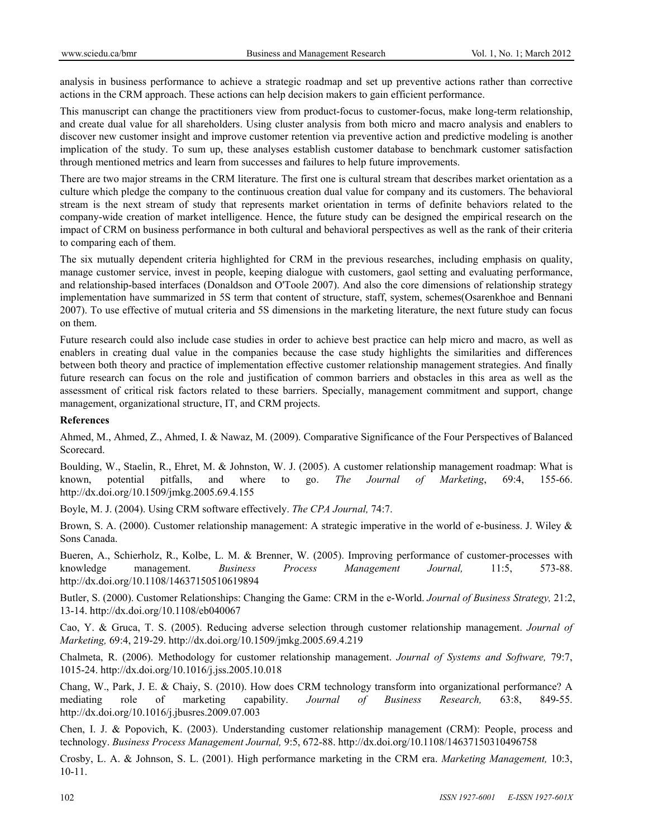analysis in business performance to achieve a strategic roadmap and set up preventive actions rather than corrective actions in the CRM approach. These actions can help decision makers to gain efficient performance.

This manuscript can change the practitioners view from product-focus to customer-focus, make long-term relationship, and create dual value for all shareholders. Using cluster analysis from both micro and macro analysis and enablers to discover new customer insight and improve customer retention via preventive action and predictive modeling is another implication of the study. To sum up, these analyses establish customer database to benchmark customer satisfaction through mentioned metrics and learn from successes and failures to help future improvements.

There are two major streams in the CRM literature. The first one is cultural stream that describes market orientation as a culture which pledge the company to the continuous creation dual value for company and its customers. The behavioral stream is the next stream of study that represents market orientation in terms of definite behaviors related to the company-wide creation of market intelligence. Hence, the future study can be designed the empirical research on the impact of CRM on business performance in both cultural and behavioral perspectives as well as the rank of their criteria to comparing each of them.

The six mutually dependent criteria highlighted for CRM in the previous researches, including emphasis on quality, manage customer service, invest in people, keeping dialogue with customers, gaol setting and evaluating performance, and relationship-based interfaces (Donaldson and O'Toole 2007). And also the core dimensions of relationship strategy implementation have summarized in 5S term that content of structure, staff, system, schemes(Osarenkhoe and Bennani 2007). To use effective of mutual criteria and 5S dimensions in the marketing literature, the next future study can focus on them.

Future research could also include case studies in order to achieve best practice can help micro and macro, as well as enablers in creating dual value in the companies because the case study highlights the similarities and differences between both theory and practice of implementation effective customer relationship management strategies. And finally future research can focus on the role and justification of common barriers and obstacles in this area as well as the assessment of critical risk factors related to these barriers. Specially, management commitment and support, change management, organizational structure, IT, and CRM projects.

#### **References**

Ahmed, M., Ahmed, Z., Ahmed, I. & Nawaz, M. (2009). Comparative Significance of the Four Perspectives of Balanced Scorecard.

Boulding, W., Staelin, R., Ehret, M. & Johnston, W. J. (2005). A customer relationship management roadmap: What is known, potential pitfalls, and where to go. *The Journal of Marketing*, 69:4, 155-66. http://dx.doi.org/10.1509/jmkg.2005.69.4.155

Boyle, M. J. (2004). Using CRM software effectively. *The CPA Journal,* 74:7.

Brown, S. A. (2000). Customer relationship management: A strategic imperative in the world of e-business. J. Wiley & Sons Canada.

Bueren, A., Schierholz, R., Kolbe, L. M. & Brenner, W. (2005). Improving performance of customer-processes with knowledge management. *Business Process Management Journal,* 11:5, 573-88. http://dx.doi.org/10.1108/14637150510619894

Butler, S. (2000). Customer Relationships: Changing the Game: CRM in the e-World. *Journal of Business Strategy,* 21:2, 13-14. http://dx.doi.org/10.1108/eb040067

Cao, Y. & Gruca, T. S. (2005). Reducing adverse selection through customer relationship management. *Journal of Marketing,* 69:4, 219-29. http://dx.doi.org/10.1509/jmkg.2005.69.4.219

Chalmeta, R. (2006). Methodology for customer relationship management. *Journal of Systems and Software,* 79:7, 1015-24. http://dx.doi.org/10.1016/j.jss.2005.10.018

Chang, W., Park, J. E. & Chaiy, S. (2010). How does CRM technology transform into organizational performance? A mediating role of marketing capability. *Journal of Business Research,* 63:8, 849-55. http://dx.doi.org/10.1016/j.jbusres.2009.07.003

Chen, I. J. & Popovich, K. (2003). Understanding customer relationship management (CRM): People, process and technology. *Business Process Management Journal,* 9:5, 672-88. http://dx.doi.org/10.1108/14637150310496758

Crosby, L. A. & Johnson, S. L. (2001). High performance marketing in the CRM era. *Marketing Management,* 10:3, 10-11.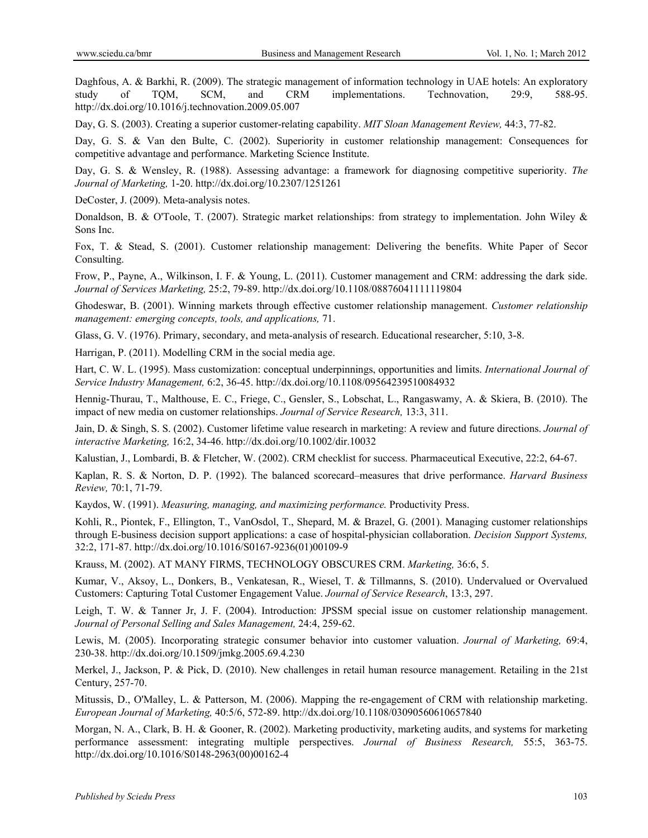Daghfous, A. & Barkhi, R. (2009). The strategic management of information technology in UAE hotels: An exploratory study of TQM, SCM, and CRM implementations. Technovation, 29:9, 588-95. http://dx.doi.org/10.1016/j.technovation.2009.05.007

Day, G. S. (2003). Creating a superior customer-relating capability. *MIT Sloan Management Review,* 44:3, 77-82.

Day, G. S. & Van den Bulte, C. (2002). Superiority in customer relationship management: Consequences for competitive advantage and performance. Marketing Science Institute.

Day, G. S. & Wensley, R. (1988). Assessing advantage: a framework for diagnosing competitive superiority. *The Journal of Marketing,* 1-20. http://dx.doi.org/10.2307/1251261

DeCoster, J. (2009). Meta-analysis notes.

Donaldson, B. & O'Toole, T. (2007). Strategic market relationships: from strategy to implementation. John Wiley & Sons Inc.

Fox, T. & Stead, S. (2001). Customer relationship management: Delivering the benefits. White Paper of Secor Consulting.

Frow, P., Payne, A., Wilkinson, I. F. & Young, L. (2011). Customer management and CRM: addressing the dark side. *Journal of Services Marketing,* 25:2, 79-89. http://dx.doi.org/10.1108/08876041111119804

Ghodeswar, B. (2001). Winning markets through effective customer relationship management. *Customer relationship management: emerging concepts, tools, and applications,* 71.

Glass, G. V. (1976). Primary, secondary, and meta-analysis of research. Educational researcher, 5:10, 3-8.

Harrigan, P. (2011). Modelling CRM in the social media age.

Hart, C. W. L. (1995). Mass customization: conceptual underpinnings, opportunities and limits. *International Journal of Service Industry Management,* 6:2, 36-45. http://dx.doi.org/10.1108/09564239510084932

Hennig-Thurau, T., Malthouse, E. C., Friege, C., Gensler, S., Lobschat, L., Rangaswamy, A. & Skiera, B. (2010). The impact of new media on customer relationships. *Journal of Service Research,* 13:3, 311.

Jain, D. & Singh, S. S. (2002). Customer lifetime value research in marketing: A review and future directions. *Journal of interactive Marketing,* 16:2, 34-46. http://dx.doi.org/10.1002/dir.10032

Kalustian, J., Lombardi, B. & Fletcher, W. (2002). CRM checklist for success. Pharmaceutical Executive, 22:2, 64-67.

Kaplan, R. S. & Norton, D. P. (1992). The balanced scorecard–measures that drive performance. *Harvard Business Review,* 70:1, 71-79.

Kaydos, W. (1991). *Measuring, managing, and maximizing performance.* Productivity Press.

Kohli, R., Piontek, F., Ellington, T., VanOsdol, T., Shepard, M. & Brazel, G. (2001). Managing customer relationships through E-business decision support applications: a case of hospital-physician collaboration. *Decision Support Systems,*  32:2, 171-87. http://dx.doi.org/10.1016/S0167-9236(01)00109-9

Krauss, M. (2002). AT MANY FIRMS, TECHNOLOGY OBSCURES CRM. *Marketing,* 36:6, 5.

Kumar, V., Aksoy, L., Donkers, B., Venkatesan, R., Wiesel, T. & Tillmanns, S. (2010). Undervalued or Overvalued Customers: Capturing Total Customer Engagement Value. *Journal of Service Research*, 13:3, 297.

Leigh, T. W. & Tanner Jr, J. F. (2004). Introduction: JPSSM special issue on customer relationship management. *Journal of Personal Selling and Sales Management,* 24:4, 259-62.

Lewis, M. (2005). Incorporating strategic consumer behavior into customer valuation. *Journal of Marketing,* 69:4, 230-38. http://dx.doi.org/10.1509/jmkg.2005.69.4.230

Merkel, J., Jackson, P. & Pick, D. (2010). New challenges in retail human resource management. Retailing in the 21st Century, 257-70.

Mitussis, D., O'Malley, L. & Patterson, M. (2006). Mapping the re-engagement of CRM with relationship marketing. *European Journal of Marketing,* 40:5/6, 572-89. http://dx.doi.org/10.1108/03090560610657840

Morgan, N. A., Clark, B. H. & Gooner, R. (2002). Marketing productivity, marketing audits, and systems for marketing performance assessment: integrating multiple perspectives. *Journal of Business Research,* 55:5, 363-75. http://dx.doi.org/10.1016/S0148-2963(00)00162-4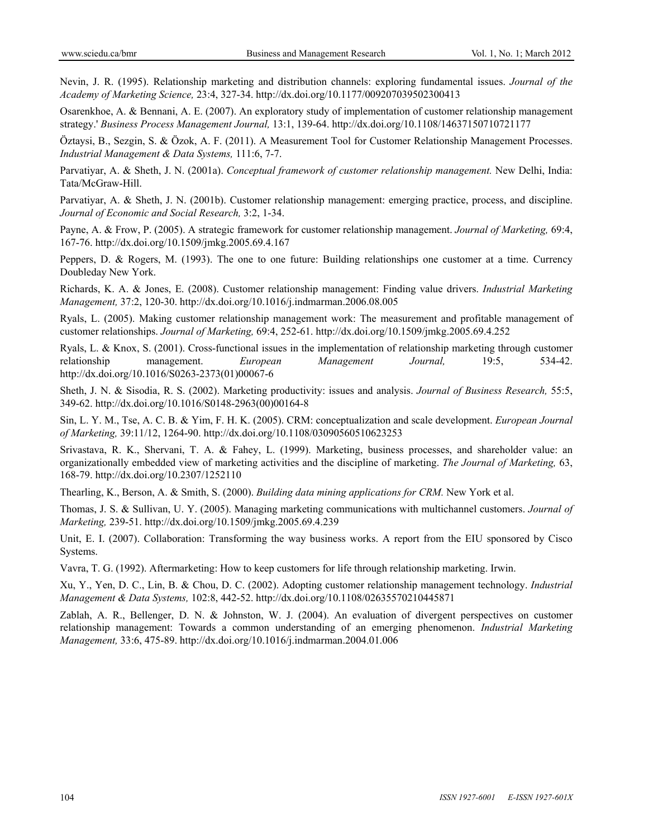Nevin, J. R. (1995). Relationship marketing and distribution channels: exploring fundamental issues. *Journal of the Academy of Marketing Science,* 23:4, 327-34. http://dx.doi.org/10.1177/009207039502300413

Osarenkhoe, A. & Bennani, A. E. (2007). An exploratory study of implementation of customer relationship management strategy.' *Business Process Management Journal,* 13:1, 139-64. http://dx.doi.org/10.1108/14637150710721177

Öztaysi, B., Sezgin, S. & Özok, A. F. (2011). A Measurement Tool for Customer Relationship Management Processes. *Industrial Management & Data Systems,* 111:6, 7-7.

Parvatiyar, A. & Sheth, J. N. (2001a). *Conceptual framework of customer relationship management.* New Delhi, India: Tata/McGraw-Hill.

Parvatiyar, A. & Sheth, J. N. (2001b). Customer relationship management: emerging practice, process, and discipline. *Journal of Economic and Social Research,* 3:2, 1-34.

Payne, A. & Frow, P. (2005). A strategic framework for customer relationship management. *Journal of Marketing,* 69:4, 167-76. http://dx.doi.org/10.1509/jmkg.2005.69.4.167

Peppers, D. & Rogers, M. (1993). The one to one future: Building relationships one customer at a time. Currency Doubleday New York.

Richards, K. A. & Jones, E. (2008). Customer relationship management: Finding value drivers. *Industrial Marketing Management,* 37:2, 120-30. http://dx.doi.org/10.1016/j.indmarman.2006.08.005

Ryals, L. (2005). Making customer relationship management work: The measurement and profitable management of customer relationships. *Journal of Marketing,* 69:4, 252-61. http://dx.doi.org/10.1509/jmkg.2005.69.4.252

Ryals, L. & Knox, S. (2001). Cross-functional issues in the implementation of relationship marketing through customer relationship management. *European Management Journal,* 19:5, 534-42. http://dx.doi.org/10.1016/S0263-2373(01)00067-6

Sheth, J. N. & Sisodia, R. S. (2002). Marketing productivity: issues and analysis. *Journal of Business Research,* 55:5, 349-62. http://dx.doi.org/10.1016/S0148-2963(00)00164-8

Sin, L. Y. M., Tse, A. C. B. & Yim, F. H. K. (2005). CRM: conceptualization and scale development. *European Journal of Marketing,* 39:11/12, 1264-90. http://dx.doi.org/10.1108/03090560510623253

Srivastava, R. K., Shervani, T. A. & Fahey, L. (1999). Marketing, business processes, and shareholder value: an organizationally embedded view of marketing activities and the discipline of marketing. *The Journal of Marketing,* 63, 168-79. http://dx.doi.org/10.2307/1252110

Thearling, K., Berson, A. & Smith, S. (2000). *Building data mining applications for CRM.* New York et al.

Thomas, J. S. & Sullivan, U. Y. (2005). Managing marketing communications with multichannel customers. *Journal of Marketing,* 239-51. http://dx.doi.org/10.1509/jmkg.2005.69.4.239

Unit, E. I. (2007). Collaboration: Transforming the way business works. A report from the EIU sponsored by Cisco Systems.

Vavra, T. G. (1992). Aftermarketing: How to keep customers for life through relationship marketing. Irwin.

Xu, Y., Yen, D. C., Lin, B. & Chou, D. C. (2002). Adopting customer relationship management technology. *Industrial Management & Data Systems,* 102:8, 442-52. http://dx.doi.org/10.1108/02635570210445871

Zablah, A. R., Bellenger, D. N. & Johnston, W. J. (2004). An evaluation of divergent perspectives on customer relationship management: Towards a common understanding of an emerging phenomenon. *Industrial Marketing Management,* 33:6, 475-89. http://dx.doi.org/10.1016/j.indmarman.2004.01.006